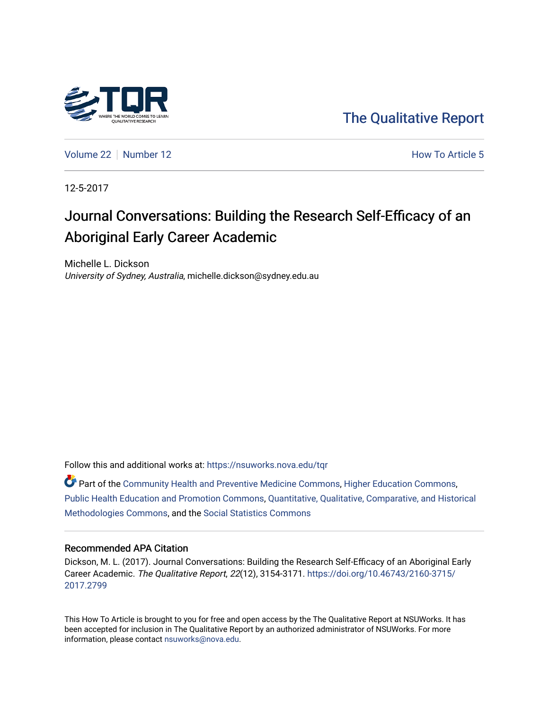

[The Qualitative Report](https://nsuworks.nova.edu/tqr) 

[Volume 22](https://nsuworks.nova.edu/tqr/vol22) [Number 12](https://nsuworks.nova.edu/tqr/vol22/iss12) **How To Article 5** Number 12

12-5-2017

# Journal Conversations: Building the Research Self-Efficacy of an Aboriginal Early Career Academic

Michelle L. Dickson University of Sydney, Australia, michelle.dickson@sydney.edu.au

Follow this and additional works at: [https://nsuworks.nova.edu/tqr](https://nsuworks.nova.edu/tqr?utm_source=nsuworks.nova.edu%2Ftqr%2Fvol22%2Fiss12%2F5&utm_medium=PDF&utm_campaign=PDFCoverPages) 

Part of the [Community Health and Preventive Medicine Commons](http://network.bepress.com/hgg/discipline/744?utm_source=nsuworks.nova.edu%2Ftqr%2Fvol22%2Fiss12%2F5&utm_medium=PDF&utm_campaign=PDFCoverPages), [Higher Education Commons,](http://network.bepress.com/hgg/discipline/1245?utm_source=nsuworks.nova.edu%2Ftqr%2Fvol22%2Fiss12%2F5&utm_medium=PDF&utm_campaign=PDFCoverPages) [Public Health Education and Promotion Commons,](http://network.bepress.com/hgg/discipline/743?utm_source=nsuworks.nova.edu%2Ftqr%2Fvol22%2Fiss12%2F5&utm_medium=PDF&utm_campaign=PDFCoverPages) [Quantitative, Qualitative, Comparative, and Historical](http://network.bepress.com/hgg/discipline/423?utm_source=nsuworks.nova.edu%2Ftqr%2Fvol22%2Fiss12%2F5&utm_medium=PDF&utm_campaign=PDFCoverPages) [Methodologies Commons](http://network.bepress.com/hgg/discipline/423?utm_source=nsuworks.nova.edu%2Ftqr%2Fvol22%2Fiss12%2F5&utm_medium=PDF&utm_campaign=PDFCoverPages), and the [Social Statistics Commons](http://network.bepress.com/hgg/discipline/1275?utm_source=nsuworks.nova.edu%2Ftqr%2Fvol22%2Fiss12%2F5&utm_medium=PDF&utm_campaign=PDFCoverPages) 

#### Recommended APA Citation

Dickson, M. L. (2017). Journal Conversations: Building the Research Self-Efficacy of an Aboriginal Early Career Academic. The Qualitative Report, 22(12), 3154-3171. [https://doi.org/10.46743/2160-3715/](https://doi.org/10.46743/2160-3715/2017.2799) [2017.2799](https://doi.org/10.46743/2160-3715/2017.2799) 

This How To Article is brought to you for free and open access by the The Qualitative Report at NSUWorks. It has been accepted for inclusion in The Qualitative Report by an authorized administrator of NSUWorks. For more information, please contact [nsuworks@nova.edu.](mailto:nsuworks@nova.edu)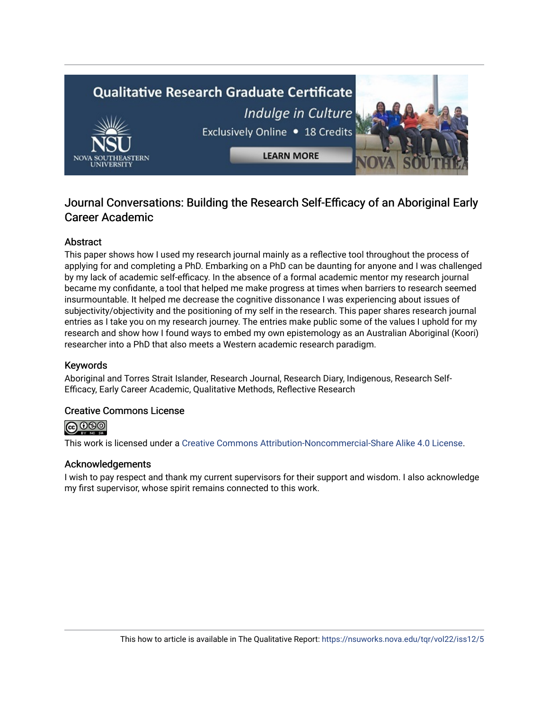

## Journal Conversations: Building the Research Self-Efficacy of an Aboriginal Early Career Academic

## Abstract

This paper shows how I used my research journal mainly as a reflective tool throughout the process of applying for and completing a PhD. Embarking on a PhD can be daunting for anyone and I was challenged by my lack of academic self-efficacy. In the absence of a formal academic mentor my research journal became my confidante, a tool that helped me make progress at times when barriers to research seemed insurmountable. It helped me decrease the cognitive dissonance I was experiencing about issues of subjectivity/objectivity and the positioning of my self in the research. This paper shares research journal entries as I take you on my research journey. The entries make public some of the values I uphold for my research and show how I found ways to embed my own epistemology as an Australian Aboriginal (Koori) researcher into a PhD that also meets a Western academic research paradigm.

## Keywords

Aboriginal and Torres Strait Islander, Research Journal, Research Diary, Indigenous, Research Self-Efficacy, Early Career Academic, Qualitative Methods, Reflective Research

## Creative Commons License



This work is licensed under a [Creative Commons Attribution-Noncommercial-Share Alike 4.0 License](https://creativecommons.org/licenses/by-nc-sa/4.0/).

## Acknowledgements

I wish to pay respect and thank my current supervisors for their support and wisdom. I also acknowledge my first supervisor, whose spirit remains connected to this work.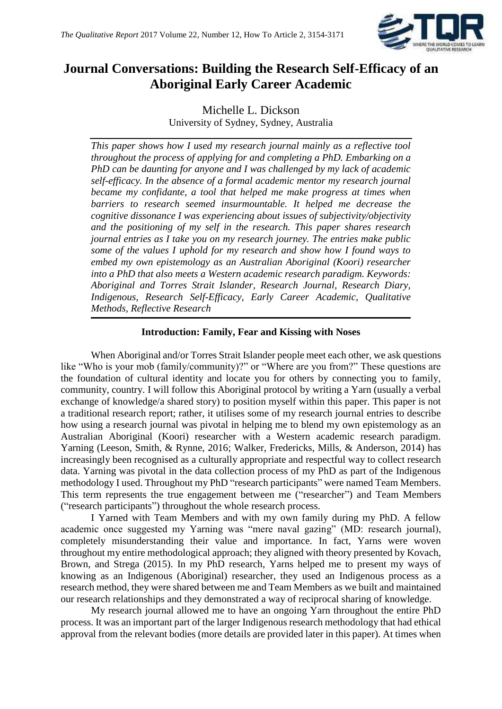

## **Journal Conversations: Building the Research Self-Efficacy of an Aboriginal Early Career Academic**

Michelle L. Dickson University of Sydney, Sydney, Australia

*This paper shows how I used my research journal mainly as a reflective tool throughout the process of applying for and completing a PhD. Embarking on a PhD can be daunting for anyone and I was challenged by my lack of academic self-efficacy. In the absence of a formal academic mentor my research journal became my confidante, a tool that helped me make progress at times when barriers to research seemed insurmountable. It helped me decrease the cognitive dissonance I was experiencing about issues of subjectivity/objectivity and the positioning of my self in the research. This paper shares research journal entries as I take you on my research journey. The entries make public some of the values I uphold for my research and show how I found ways to embed my own epistemology as an Australian Aboriginal (Koori) researcher into a PhD that also meets a Western academic research paradigm. Keywords: Aboriginal and Torres Strait Islander, Research Journal, Research Diary, Indigenous, Research Self-Efficacy, Early Career Academic, Qualitative Methods, Reflective Research*

## **Introduction: Family, Fear and Kissing with Noses**

When Aboriginal and/or Torres Strait Islander people meet each other, we ask questions like "Who is your mob (family/community)?" or "Where are you from?" These questions are the foundation of cultural identity and locate you for others by connecting you to family, community, country. I will follow this Aboriginal protocol by writing a Yarn (usually a verbal exchange of knowledge/a shared story) to position myself within this paper. This paper is not a traditional research report; rather, it utilises some of my research journal entries to describe how using a research journal was pivotal in helping me to blend my own epistemology as an Australian Aboriginal (Koori) researcher with a Western academic research paradigm. Yarning (Leeson, Smith, & Rynne, 2016; Walker, Fredericks, Mills, & Anderson, 2014) has increasingly been recognised as a culturally appropriate and respectful way to collect research data. Yarning was pivotal in the data collection process of my PhD as part of the Indigenous methodology I used. Throughout my PhD "research participants" were named Team Members. This term represents the true engagement between me ("researcher") and Team Members ("research participants") throughout the whole research process.

I Yarned with Team Members and with my own family during my PhD. A fellow academic once suggested my Yarning was "mere naval gazing" (MD: research journal), completely misunderstanding their value and importance. In fact, Yarns were woven throughout my entire methodological approach; they aligned with theory presented by Kovach, Brown, and Strega (2015). In my PhD research, Yarns helped me to present my ways of knowing as an Indigenous (Aboriginal) researcher, they used an Indigenous process as a research method, they were shared between me and Team Members as we built and maintained our research relationships and they demonstrated a way of reciprocal sharing of knowledge.

My research journal allowed me to have an ongoing Yarn throughout the entire PhD process. It was an important part of the larger Indigenous research methodology that had ethical approval from the relevant bodies (more details are provided later in this paper). At times when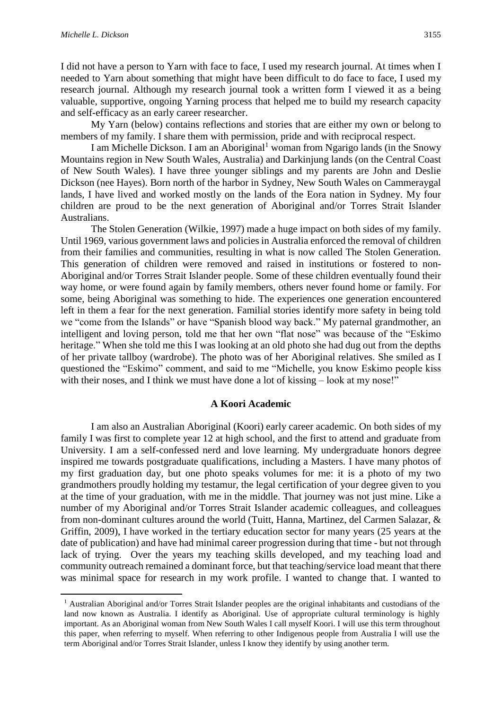1

I did not have a person to Yarn with face to face, I used my research journal. At times when I needed to Yarn about something that might have been difficult to do face to face, I used my research journal. Although my research journal took a written form I viewed it as a being valuable, supportive, ongoing Yarning process that helped me to build my research capacity and self-efficacy as an early career researcher.

My Yarn (below) contains reflections and stories that are either my own or belong to members of my family. I share them with permission, pride and with reciprocal respect.

I am Michelle Dickson. I am an Aboriginal<sup>1</sup> woman from Ngarigo lands (in the Snowy Mountains region in New South Wales, Australia) and Darkinjung lands (on the Central Coast of New South Wales). I have three younger siblings and my parents are John and Deslie Dickson (nee Hayes). Born north of the harbor in Sydney, New South Wales on Cammeraygal lands, I have lived and worked mostly on the lands of the Eora nation in Sydney. My four children are proud to be the next generation of Aboriginal and/or Torres Strait Islander Australians.

The Stolen Generation (Wilkie, 1997) made a huge impact on both sides of my family. Until 1969, various government laws and policies in Australia enforced the removal of children from their families and communities, resulting in what is now called The Stolen Generation. This generation of children were removed and raised in institutions or fostered to non-Aboriginal and/or Torres Strait Islander people. Some of these children eventually found their way home, or were found again by family members, others never found home or family. For some, being Aboriginal was something to hide. The experiences one generation encountered left in them a fear for the next generation. Familial stories identify more safety in being told we "come from the Islands" or have "Spanish blood way back." My paternal grandmother, an intelligent and loving person, told me that her own "flat nose" was because of the "Eskimo heritage." When she told me this I was looking at an old photo she had dug out from the depths of her private tallboy (wardrobe). The photo was of her Aboriginal relatives. She smiled as I questioned the "Eskimo" comment, and said to me "Michelle, you know Eskimo people kiss with their noses, and I think we must have done a lot of kissing – look at my nose!"

#### **A Koori Academic**

I am also an Australian Aboriginal (Koori) early career academic. On both sides of my family I was first to complete year 12 at high school, and the first to attend and graduate from University. I am a self-confessed nerd and love learning. My undergraduate honors degree inspired me towards postgraduate qualifications, including a Masters. I have many photos of my first graduation day, but one photo speaks volumes for me: it is a photo of my two grandmothers proudly holding my testamur, the legal certification of your degree given to you at the time of your graduation, with me in the middle. That journey was not just mine. Like a number of my Aboriginal and/or Torres Strait Islander academic colleagues, and colleagues from non-dominant cultures around the world (Tuitt, Hanna, Martinez, del Carmen Salazar, & Griffin, 2009), I have worked in the tertiary education sector for many years (25 years at the date of publication) and have had minimal career progression during that time - but not through lack of trying. Over the years my teaching skills developed, and my teaching load and community outreach remained a dominant force, but that teaching/service load meant that there was minimal space for research in my work profile. I wanted to change that. I wanted to

<sup>1</sup> Australian Aboriginal and/or Torres Strait Islander peoples are the original inhabitants and custodians of the land now known as Australia. I identify as Aboriginal. Use of appropriate cultural terminology is highly important. As an Aboriginal woman from New South Wales I call myself Koori. I will use this term throughout this paper, when referring to myself. When referring to other Indigenous people from Australia I will use the term Aboriginal and/or Torres Strait Islander, unless I know they identify by using another term.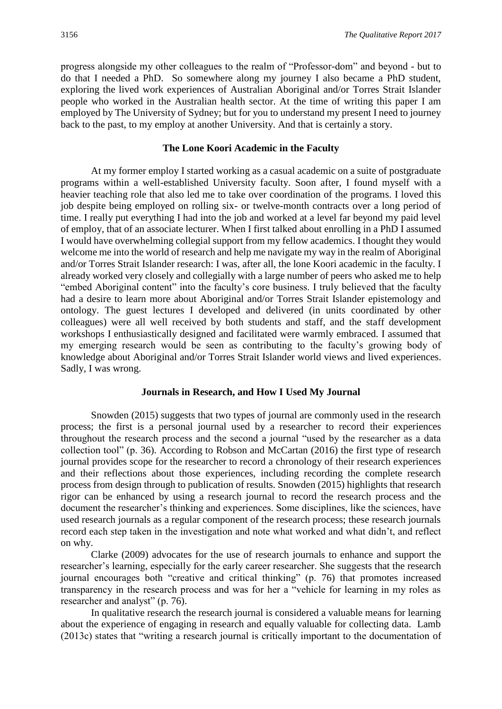progress alongside my other colleagues to the realm of "Professor-dom" and beyond - but to do that I needed a PhD. So somewhere along my journey I also became a PhD student, exploring the lived work experiences of Australian Aboriginal and/or Torres Strait Islander people who worked in the Australian health sector. At the time of writing this paper I am employed by The University of Sydney; but for you to understand my present I need to journey back to the past, to my employ at another University. And that is certainly a story.

#### **The Lone Koori Academic in the Faculty**

At my former employ I started working as a casual academic on a suite of postgraduate programs within a well-established University faculty. Soon after, I found myself with a heavier teaching role that also led me to take over coordination of the programs. I loved this job despite being employed on rolling six- or twelve-month contracts over a long period of time. I really put everything I had into the job and worked at a level far beyond my paid level of employ, that of an associate lecturer. When I first talked about enrolling in a PhD I assumed I would have overwhelming collegial support from my fellow academics. I thought they would welcome me into the world of research and help me navigate my way in the realm of Aboriginal and/or Torres Strait Islander research: I was, after all, the lone Koori academic in the faculty. I already worked very closely and collegially with a large number of peers who asked me to help "embed Aboriginal content" into the faculty's core business. I truly believed that the faculty had a desire to learn more about Aboriginal and/or Torres Strait Islander epistemology and ontology. The guest lectures I developed and delivered (in units coordinated by other colleagues) were all well received by both students and staff, and the staff development workshops I enthusiastically designed and facilitated were warmly embraced. I assumed that my emerging research would be seen as contributing to the faculty's growing body of knowledge about Aboriginal and/or Torres Strait Islander world views and lived experiences. Sadly, I was wrong.

#### **Journals in Research, and How I Used My Journal**

Snowden (2015) suggests that two types of journal are commonly used in the research process; the first is a personal journal used by a researcher to record their experiences throughout the research process and the second a journal "used by the researcher as a data collection tool" (p. 36). According to Robson and McCartan (2016) the first type of research journal provides scope for the researcher to record a chronology of their research experiences and their reflections about those experiences, including recording the complete research process from design through to publication of results. Snowden (2015) highlights that research rigor can be enhanced by using a research journal to record the research process and the document the researcher's thinking and experiences. Some disciplines, like the sciences, have used research journals as a regular component of the research process; these research journals record each step taken in the investigation and note what worked and what didn't, and reflect on why.

Clarke (2009) advocates for the use of research journals to enhance and support the researcher's learning, especially for the early career researcher. She suggests that the research journal encourages both "creative and critical thinking" (p. 76) that promotes increased transparency in the research process and was for her a "vehicle for learning in my roles as researcher and analyst" (p. 76).

In qualitative research the research journal is considered a valuable means for learning about the experience of engaging in research and equally valuable for collecting data. Lamb (2013c) states that "writing a research journal is critically important to the documentation of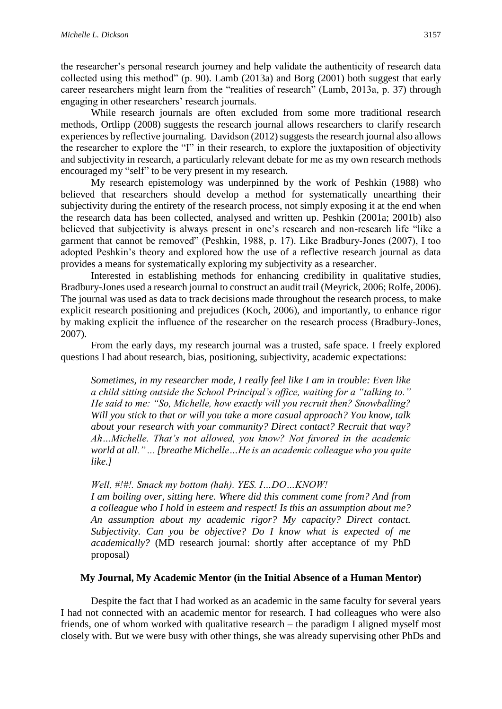the researcher's personal research journey and help validate the authenticity of research data collected using this method" (p. 90). Lamb (2013a) and Borg (2001) both suggest that early career researchers might learn from the "realities of research" (Lamb, 2013a, p. 37) through engaging in other researchers' research journals.

While research journals are often excluded from some more traditional research methods, Ortlipp (2008) suggests the research journal allows researchers to clarify research experiences by reflective journaling. Davidson (2012) suggests the research journal also allows the researcher to explore the "I" in their research, to explore the juxtaposition of objectivity and subjectivity in research, a particularly relevant debate for me as my own research methods encouraged my "self" to be very present in my research.

My research epistemology was underpinned by the work of Peshkin (1988) who believed that researchers should develop a method for systematically unearthing their subjectivity during the entirety of the research process, not simply exposing it at the end when the research data has been collected, analysed and written up. Peshkin (2001a; 2001b) also believed that subjectivity is always present in one's research and non-research life "like a garment that cannot be removed" (Peshkin, 1988, p. 17). Like Bradbury‐Jones (2007), I too adopted Peshkin's theory and explored how the use of a reflective research journal as data provides a means for systematically exploring my subjectivity as a researcher.

Interested in establishing methods for enhancing credibility in qualitative studies, Bradbury-Jones used a research journal to construct an audit trail (Meyrick, 2006; Rolfe, 2006). The journal was used as data to track decisions made throughout the research process, to make explicit research positioning and prejudices (Koch, 2006), and importantly, to enhance rigor by making explicit the influence of the researcher on the research process (Bradbury‐Jones, 2007).

From the early days, my research journal was a trusted, safe space. I freely explored questions I had about research, bias, positioning, subjectivity, academic expectations:

*Sometimes, in my researcher mode, I really feel like I am in trouble: Even like a child sitting outside the School Principal's office, waiting for a "talking to." He said to me: "So, Michelle, how exactly will you recruit then? Snowballing? Will you stick to that or will you take a more casual approach? You know, talk about your research with your community? Direct contact? Recruit that way? Ah…Michelle. That's not allowed, you know? Not favored in the academic world at all." ... [breathe Michelle…He is an academic colleague who you quite like.]*

#### *Well, #!#!. Smack my bottom (hah). YES. I…DO…KNOW!*

*I am boiling over, sitting here. Where did this comment come from? And from a colleague who I hold in esteem and respect! Is this an assumption about me? An assumption about my academic rigor? My capacity? Direct contact. Subjectivity. Can you be objective? Do I know what is expected of me academically?* (MD research journal: shortly after acceptance of my PhD proposal)

#### **My Journal, My Academic Mentor (in the Initial Absence of a Human Mentor)**

Despite the fact that I had worked as an academic in the same faculty for several years I had not connected with an academic mentor for research. I had colleagues who were also friends, one of whom worked with qualitative research – the paradigm I aligned myself most closely with. But we were busy with other things, she was already supervising other PhDs and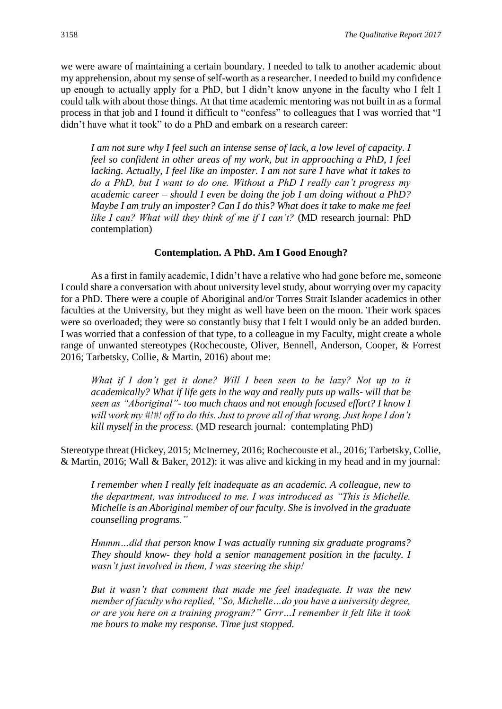we were aware of maintaining a certain boundary. I needed to talk to another academic about my apprehension, about my sense of self-worth as a researcher. I needed to build my confidence up enough to actually apply for a PhD, but I didn't know anyone in the faculty who I felt I could talk with about those things. At that time academic mentoring was not built in as a formal process in that job and I found it difficult to "confess" to colleagues that I was worried that "I didn't have what it took" to do a PhD and embark on a research career:

*I am not sure why I feel such an intense sense of lack, a low level of capacity. I feel so confident in other areas of my work, but in approaching a PhD, I feel lacking. Actually, I feel like an imposter. I am not sure I have what it takes to do a PhD, but I want to do one. Without a PhD I really can't progress my academic career – should I even be doing the job I am doing without a PhD? Maybe I am truly an imposter? Can I do this? What does it take to make me feel like I can? What will they think of me if I can't?* (MD research journal: PhD contemplation)

#### **Contemplation. A PhD. Am I Good Enough?**

As a first in family academic, I didn't have a relative who had gone before me, someone I could share a conversation with about university level study, about worrying over my capacity for a PhD. There were a couple of Aboriginal and/or Torres Strait Islander academics in other faculties at the University, but they might as well have been on the moon. Their work spaces were so overloaded; they were so constantly busy that I felt I would only be an added burden. I was worried that a confession of that type, to a colleague in my Faculty, might create a whole range of unwanted stereotypes (Rochecouste, Oliver, Bennell, Anderson, Cooper, & Forrest 2016; Tarbetsky, Collie, & Martin, 2016) about me:

*What if I don't get it done? Will I been seen to be lazy? Not up to it academically? What if life gets in the way and really puts up walls- will that be seen as "Aboriginal"- too much chaos and not enough focused effort? I know I will work my #!#! off to do this. Just to prove all of that wrong. Just hope I don't kill myself in the process.* (MD research journal: contemplating PhD)

Stereotype threat (Hickey, 2015; McInerney, 2016; Rochecouste et al., 2016; Tarbetsky, Collie, & Martin, 2016; Wall & Baker, 2012): it was alive and kicking in my head and in my journal:

*I remember when I really felt inadequate as an academic. A colleague, new to the department, was introduced to me. I was introduced as "This is Michelle. Michelle is an Aboriginal member of our faculty. She is involved in the graduate counselling programs."*

*Hmmm…did that person know I was actually running six graduate programs? They should know- they hold a senior management position in the faculty. I wasn't just involved in them, I was steering the ship!* 

*But it wasn't that comment that made me feel inadequate. It was the new member of faculty who replied, "So, Michelle…do you have a university degree, or are you here on a training program?" Grrr…I remember it felt like it took me hours to make my response. Time just stopped.*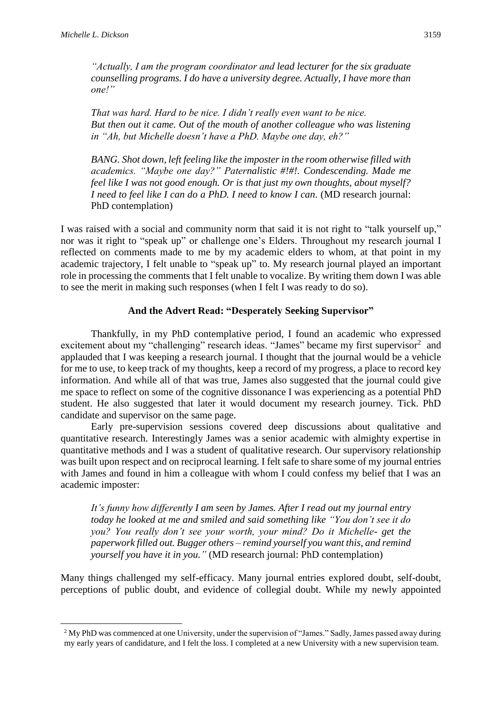*"Actually, I am the program coordinator and lead lecturer for the six graduate counselling programs. I do have a university degree. Actually, I have more than one!"* 

*That was hard. Hard to be nice. I didn't really even want to be nice. But then out it came. Out of the mouth of another colleague who was listening in "Ah, but Michelle doesn't have a PhD. Maybe one day, eh?"* 

*BANG. Shot down, left feeling like the imposter in the room otherwise filled with academics. "Maybe one day?" Paternalistic #!#!. Condescending. Made me feel like I was not good enough. Or is that just my own thoughts, about myself? I need to feel like I can do a PhD. I need to know I can.* (MD research journal: PhD contemplation)

I was raised with a social and community norm that said it is not right to "talk yourself up," nor was it right to "speak up" or challenge one's Elders. Throughout my research journal I reflected on comments made to me by my academic elders to whom, at that point in my academic trajectory, I felt unable to "speak up" to. My research journal played an important role in processing the comments that I felt unable to vocalize. By writing them down I was able to see the merit in making such responses (when I felt I was ready to do so).

## **And the Advert Read: "Desperately Seeking Supervisor"**

Thankfully, in my PhD contemplative period, I found an academic who expressed excitement about my "challenging" research ideas. "James" became my first supervisor $2$  and applauded that I was keeping a research journal. I thought that the journal would be a vehicle for me to use, to keep track of my thoughts, keep a record of my progress, a place to record key information. And while all of that was true, James also suggested that the journal could give me space to reflect on some of the cognitive dissonance I was experiencing as a potential PhD student. He also suggested that later it would document my research journey. Tick. PhD candidate and supervisor on the same page.

Early pre-supervision sessions covered deep discussions about qualitative and quantitative research. Interestingly James was a senior academic with almighty expertise in quantitative methods and I was a student of qualitative research. Our supervisory relationship was built upon respect and on reciprocal learning. I felt safe to share some of my journal entries with James and found in him a colleague with whom I could confess my belief that I was an academic imposter:

*It's funny how differently I am seen by James. After I read out my journal entry today he looked at me and smiled and said something like "You don't see it do you? You really don't see your worth, your mind? Do it Michelle- get the paperwork filled out. Bugger others – remind yourself you want this, and remind yourself you have it in you."* (MD research journal: PhD contemplation)

Many things challenged my self-efficacy. Many journal entries explored doubt, self-doubt, perceptions of public doubt, and evidence of collegial doubt. While my newly appointed

**<sup>.</sup>** <sup>2</sup> My PhD was commenced at one University, under the supervision of "James." Sadly, James passed away during my early years of candidature, and I felt the loss. I completed at a new University with a new supervision team.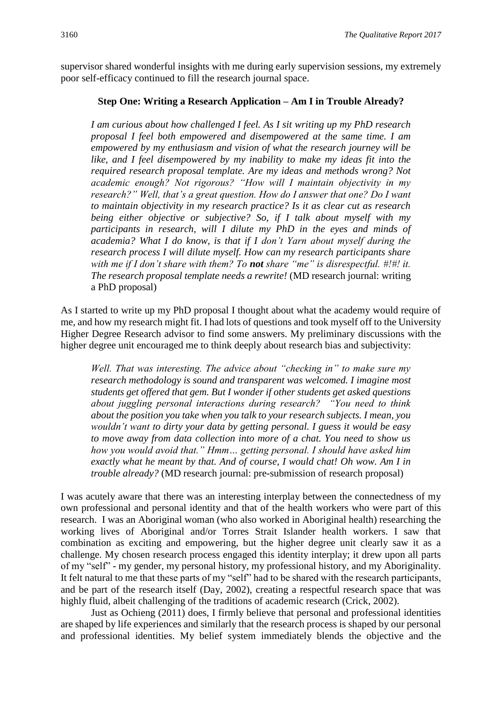supervisor shared wonderful insights with me during early supervision sessions, my extremely poor self-efficacy continued to fill the research journal space.

### **Step One: Writing a Research Application – Am I in Trouble Already?**

*I am curious about how challenged I feel. As I sit writing up my PhD research proposal I feel both empowered and disempowered at the same time. I am empowered by my enthusiasm and vision of what the research journey will be like, and I feel disempowered by my inability to make my ideas fit into the required research proposal template. Are my ideas and methods wrong? Not academic enough? Not rigorous? "How will I maintain objectivity in my research?" Well, that's a great question. How do I answer that one? Do I want to maintain objectivity in my research practice? Is it as clear cut as research being either objective or subjective? So, if I talk about myself with my participants in research, will I dilute my PhD in the eyes and minds of academia? What I do know, is that if I don't Yarn about myself during the research process I will dilute myself. How can my research participants share with me if I don't share with them? To not share "me" is disrespectful. #!#! it. The research proposal template needs a rewrite!* (MD research journal: writing a PhD proposal)

As I started to write up my PhD proposal I thought about what the academy would require of me, and how my research might fit. I had lots of questions and took myself off to the University Higher Degree Research advisor to find some answers. My preliminary discussions with the higher degree unit encouraged me to think deeply about research bias and subjectivity:

*Well. That was interesting. The advice about "checking in" to make sure my research methodology is sound and transparent was welcomed. I imagine most students get offered that gem. But I wonder if other students get asked questions about juggling personal interactions during research? "You need to think about the position you take when you talk to your research subjects. I mean, you wouldn't want to dirty your data by getting personal. I guess it would be easy to move away from data collection into more of a chat. You need to show us how you would avoid that." Hmm… getting personal. I should have asked him exactly what he meant by that. And of course, I would chat! Oh wow. Am I in trouble already?* (MD research journal: pre-submission of research proposal)

I was acutely aware that there was an interesting interplay between the connectedness of my own professional and personal identity and that of the health workers who were part of this research. I was an Aboriginal woman (who also worked in Aboriginal health) researching the working lives of Aboriginal and/or Torres Strait Islander health workers. I saw that combination as exciting and empowering, but the higher degree unit clearly saw it as a challenge. My chosen research process engaged this identity interplay; it drew upon all parts of my "self" - my gender, my personal history, my professional history, and my Aboriginality. It felt natural to me that these parts of my "self" had to be shared with the research participants, and be part of the research itself (Day, 2002), creating a respectful research space that was highly fluid, albeit challenging of the traditions of academic research (Crick, 2002).

Just as Ochieng (2011) does, I firmly believe that personal and professional identities are shaped by life experiences and similarly that the research process is shaped by our personal and professional identities. My belief system immediately blends the objective and the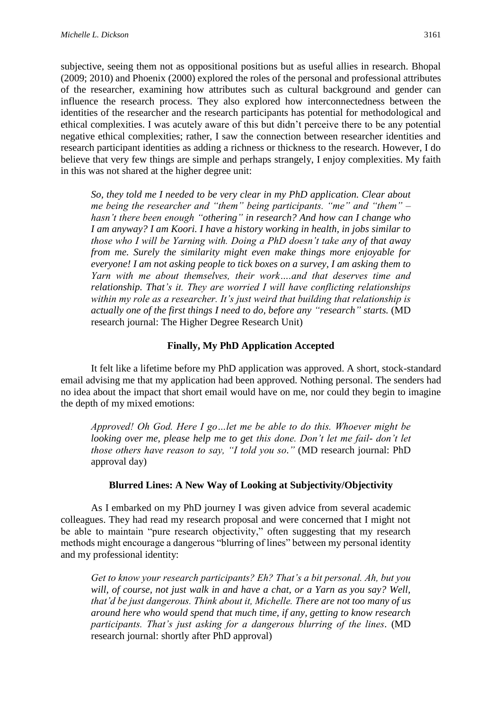subjective, seeing them not as oppositional positions but as useful allies in research. Bhopal (2009; 2010) and Phoenix (2000) explored the roles of the personal and professional attributes of the researcher, examining how attributes such as cultural background and gender can influence the research process. They also explored how interconnectedness between the identities of the researcher and the research participants has potential for methodological and ethical complexities. I was acutely aware of this but didn't perceive there to be any potential negative ethical complexities; rather, I saw the connection between researcher identities and research participant identities as adding a richness or thickness to the research. However, I do believe that very few things are simple and perhaps strangely, I enjoy complexities. My faith in this was not shared at the higher degree unit:

*So, they told me I needed to be very clear in my PhD application. Clear about me being the researcher and "them" being participants. "me" and "them" – hasn't there been enough "othering" in research? And how can I change who I am anyway? I am Koori. I have a history working in health, in jobs similar to those who I will be Yarning with. Doing a PhD doesn't take any of that away from me. Surely the similarity might even make things more enjoyable for everyone! I am not asking people to tick boxes on a survey, I am asking them to Yarn with me about themselves, their work….and that deserves time and relationship. That's it. They are worried I will have conflicting relationships within my role as a researcher. It's just weird that building that relationship is actually one of the first things I need to do, before any "research" starts.* (MD research journal: The Higher Degree Research Unit)

#### **Finally, My PhD Application Accepted**

It felt like a lifetime before my PhD application was approved. A short, stock-standard email advising me that my application had been approved. Nothing personal. The senders had no idea about the impact that short email would have on me, nor could they begin to imagine the depth of my mixed emotions:

*Approved! Oh God. Here I go…let me be able to do this. Whoever might be looking over me, please help me to get this done. Don't let me fail- don't let those others have reason to say, "I told you so."* (MD research journal: PhD approval day)

#### **Blurred Lines: A New Way of Looking at Subjectivity/Objectivity**

As I embarked on my PhD journey I was given advice from several academic colleagues. They had read my research proposal and were concerned that I might not be able to maintain "pure research objectivity," often suggesting that my research methods might encourage a dangerous "blurring of lines" between my personal identity and my professional identity:

*Get to know your research participants? Eh? That's a bit personal. Ah, but you will, of course, not just walk in and have a chat, or a Yarn as you say? Well, that'd be just dangerous. Think about it, Michelle. There are not too many of us around here who would spend that much time, if any, getting to know research participants. That's just asking for a dangerous blurring of the lines.* (MD research journal: shortly after PhD approval)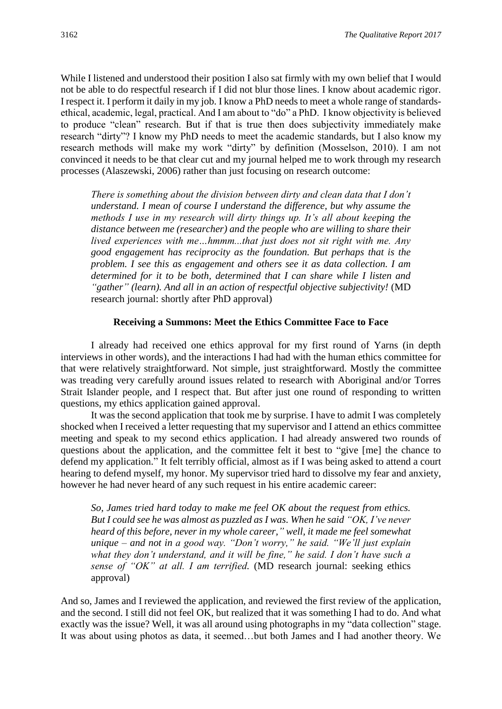While I listened and understood their position I also sat firmly with my own belief that I would not be able to do respectful research if I did not blur those lines. I know about academic rigor. I respect it. I perform it daily in my job. I know a PhD needs to meet a whole range of standardsethical, academic, legal, practical. And I am about to "do" a PhD. I know objectivity is believed to produce "clean" research. But if that is true then does subjectivity immediately make research "dirty"? I know my PhD needs to meet the academic standards, but I also know my research methods will make my work "dirty" by definition (Mosselson, 2010). I am not convinced it needs to be that clear cut and my journal helped me to work through my research processes (Alaszewski, 2006) rather than just focusing on research outcome:

*There is something about the division between dirty and clean data that I don't understand. I mean of course I understand the difference, but why assume the methods I use in my research will dirty things up. It's all about keeping the distance between me (researcher) and the people who are willing to share their lived experiences with me…hmmm...that just does not sit right with me. Any good engagement has reciprocity as the foundation. But perhaps that is the problem. I see this as engagement and others see it as data collection. I am determined for it to be both, determined that I can share while I listen and "gather" (learn). And all in an action of respectful objective subjectivity!* (MD research journal: shortly after PhD approval)

#### **Receiving a Summons: Meet the Ethics Committee Face to Face**

I already had received one ethics approval for my first round of Yarns (in depth interviews in other words), and the interactions I had had with the human ethics committee for that were relatively straightforward. Not simple, just straightforward. Mostly the committee was treading very carefully around issues related to research with Aboriginal and/or Torres Strait Islander people, and I respect that. But after just one round of responding to written questions, my ethics application gained approval.

It was the second application that took me by surprise. I have to admit I was completely shocked when I received a letter requesting that my supervisor and I attend an ethics committee meeting and speak to my second ethics application. I had already answered two rounds of questions about the application, and the committee felt it best to "give [me] the chance to defend my application." It felt terribly official, almost as if I was being asked to attend a court hearing to defend myself, my honor. My supervisor tried hard to dissolve my fear and anxiety, however he had never heard of any such request in his entire academic career:

*So, James tried hard today to make me feel OK about the request from ethics. But I could see he was almost as puzzled as I was. When he said "OK, I've never heard of this before, never in my whole career," well, it made me feel somewhat unique – and not in a good way. "Don't worry," he said. "We'll just explain what they don't understand, and it will be fine," he said. I don't have such a sense of "OK" at all. I am terrified.* (MD research journal: seeking ethics approval)

And so, James and I reviewed the application, and reviewed the first review of the application, and the second. I still did not feel OK, but realized that it was something I had to do. And what exactly was the issue? Well, it was all around using photographs in my "data collection" stage. It was about using photos as data, it seemed…but both James and I had another theory. We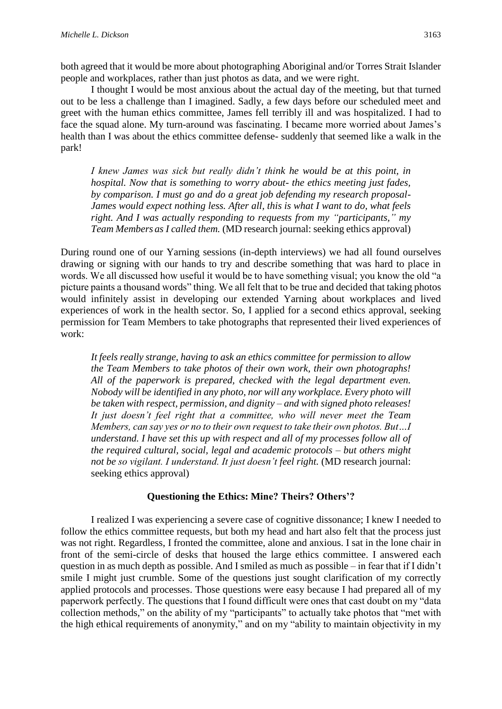both agreed that it would be more about photographing Aboriginal and/or Torres Strait Islander people and workplaces, rather than just photos as data, and we were right.

I thought I would be most anxious about the actual day of the meeting, but that turned out to be less a challenge than I imagined. Sadly, a few days before our scheduled meet and greet with the human ethics committee, James fell terribly ill and was hospitalized. I had to face the squad alone. My turn-around was fascinating. I became more worried about James's health than I was about the ethics committee defense- suddenly that seemed like a walk in the park!

*I knew James was sick but really didn't think he would be at this point, in hospital. Now that is something to worry about- the ethics meeting just fades, by comparison. I must go and do a great job defending my research proposal-James would expect nothing less. After all, this is what I want to do, what feels right. And I was actually responding to requests from my "participants," my Team Members as I called them.* (MD research journal: seeking ethics approval)

During round one of our Yarning sessions (in-depth interviews) we had all found ourselves drawing or signing with our hands to try and describe something that was hard to place in words. We all discussed how useful it would be to have something visual; you know the old "a picture paints a thousand words" thing. We all felt that to be true and decided that taking photos would infinitely assist in developing our extended Yarning about workplaces and lived experiences of work in the health sector. So, I applied for a second ethics approval, seeking permission for Team Members to take photographs that represented their lived experiences of work:

*It feels really strange, having to ask an ethics committee for permission to allow the Team Members to take photos of their own work, their own photographs! All of the paperwork is prepared, checked with the legal department even. Nobody will be identified in any photo, nor will any workplace. Every photo will be taken with respect, permission, and dignity – and with signed photo releases! It just doesn't feel right that a committee, who will never meet the Team Members, can say yes or no to their own request to take their own photos. But…I understand. I have set this up with respect and all of my processes follow all of the required cultural, social, legal and academic protocols – but others might not be so vigilant. I understand. It just doesn't feel right.* (MD research journal: seeking ethics approval)

## **Questioning the Ethics: Mine? Theirs? Others'?**

I realized I was experiencing a severe case of cognitive dissonance; I knew I needed to follow the ethics committee requests, but both my head and hart also felt that the process just was not right. Regardless, I fronted the committee, alone and anxious. I sat in the lone chair in front of the semi-circle of desks that housed the large ethics committee. I answered each question in as much depth as possible. And I smiled as much as possible – in fear that if I didn't smile I might just crumble. Some of the questions just sought clarification of my correctly applied protocols and processes. Those questions were easy because I had prepared all of my paperwork perfectly. The questions that I found difficult were ones that cast doubt on my "data collection methods," on the ability of my "participants" to actually take photos that "met with the high ethical requirements of anonymity," and on my "ability to maintain objectivity in my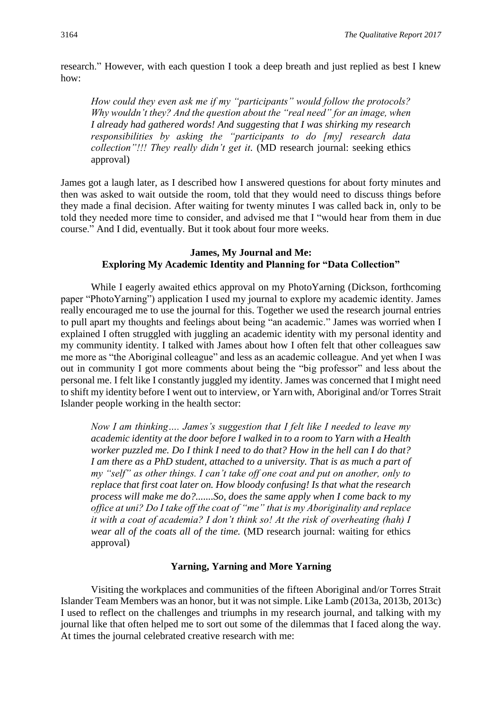research." However, with each question I took a deep breath and just replied as best I knew how:

*How could they even ask me if my "participants" would follow the protocols? Why wouldn't they? And the question about the "real need" for an image, when I already had gathered words! And suggesting that I was shirking my research responsibilities by asking the "participants to do [my] research data collection"!!! They really didn't get it.* (MD research journal: seeking ethics approval)

James got a laugh later, as I described how I answered questions for about forty minutes and then was asked to wait outside the room, told that they would need to discuss things before they made a final decision. After waiting for twenty minutes I was called back in, only to be told they needed more time to consider, and advised me that I "would hear from them in due course." And I did, eventually. But it took about four more weeks.

## **James, My Journal and Me: Exploring My Academic Identity and Planning for "Data Collection"**

While I eagerly awaited ethics approval on my PhotoYarning (Dickson, forthcoming paper "PhotoYarning") application I used my journal to explore my academic identity. James really encouraged me to use the journal for this. Together we used the research journal entries to pull apart my thoughts and feelings about being "an academic." James was worried when I explained I often struggled with juggling an academic identity with my personal identity and my community identity. I talked with James about how I often felt that other colleagues saw me more as "the Aboriginal colleague" and less as an academic colleague. And yet when I was out in community I got more comments about being the "big professor" and less about the personal me. I felt like I constantly juggled my identity. James was concerned that I might need to shift my identity before I went out to interview, or Yarn with, Aboriginal and/or Torres Strait Islander people working in the health sector:

*Now I am thinking…. James's suggestion that I felt like I needed to leave my academic identity at the door before I walked in to a room to Yarn with a Health worker puzzled me. Do I think I need to do that? How in the hell can I do that? I am there as a PhD student, attached to a university. That is as much a part of my "self" as other things. I can't take off one coat and put on another, only to replace that first coat later on. How bloody confusing! Is that what the research process will make me do?.......So, does the same apply when I come back to my office at uni? Do I take off the coat of "me" that is my Aboriginality and replace it with a coat of academia? I don't think so! At the risk of overheating (hah) I wear all of the coats all of the time.* (MD research journal: waiting for ethics approval)

## **Yarning, Yarning and More Yarning**

Visiting the workplaces and communities of the fifteen Aboriginal and/or Torres Strait Islander Team Members was an honor, but it was not simple. Like Lamb (2013a, 2013b, 2013c) I used to reflect on the challenges and triumphs in my research journal, and talking with my journal like that often helped me to sort out some of the dilemmas that I faced along the way. At times the journal celebrated creative research with me: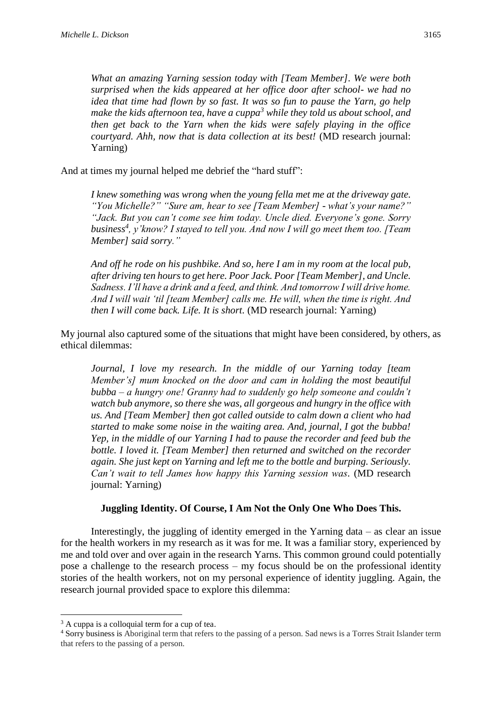*make the kids afternoon tea, have a cuppa<sup>3</sup> while they told us about school, and then get back to the Yarn when the kids were safely playing in the office courtyard. Ahh, now that is data collection at its best!* (MD research journal: Yarning)

And at times my journal helped me debrief the "hard stuff":

*I knew something was wrong when the young fella met me at the driveway gate. "You Michelle?" "Sure am, hear to see [Team Member] - what's your name?" "Jack. But you can't come see him today. Uncle died. Everyone's gone. Sorry business<sup>4</sup> , y'know? I stayed to tell you. And now I will go meet them too. [Team Member] said sorry."*

*And off he rode on his pushbike. And so, here I am in my room at the local pub, after driving ten hours to get here. Poor Jack. Poor [Team Member], and Uncle. Sadness. I'll have a drink and a feed, and think. And tomorrow I will drive home. And I will wait 'til [team Member] calls me. He will, when the time is right. And then I will come back. Life. It is short.* (MD research journal: Yarning)

My journal also captured some of the situations that might have been considered, by others, as ethical dilemmas:

*Journal, I love my research. In the middle of our Yarning today [team Member's] mum knocked on the door and cam in holding the most beautiful bubba – a hungry one! Granny had to suddenly go help someone and couldn't watch bub anymore, so there she was, all gorgeous and hungry in the office with us. And [Team Member] then got called outside to calm down a client who had started to make some noise in the waiting area. And, journal, I got the bubba! Yep, in the middle of our Yarning I had to pause the recorder and feed bub the bottle. I loved it. [Team Member] then returned and switched on the recorder again. She just kept on Yarning and left me to the bottle and burping. Seriously. Can't wait to tell James how happy this Yarning session was.* (MD research journal: Yarning)

## **Juggling Identity. Of Course, I Am Not the Only One Who Does This.**

Interestingly, the juggling of identity emerged in the Yarning data – as clear an issue for the health workers in my research as it was for me. It was a familiar story, experienced by me and told over and over again in the research Yarns. This common ground could potentially pose a challenge to the research process – my focus should be on the professional identity stories of the health workers, not on my personal experience of identity juggling. Again, the research journal provided space to explore this dilemma:

1

<sup>&</sup>lt;sup>3</sup> A cuppa is a colloquial term for a cup of tea.

<sup>4</sup> Sorry business is Aboriginal term that refers to the passing of a person. Sad news is a Torres Strait Islander term that refers to the passing of a person.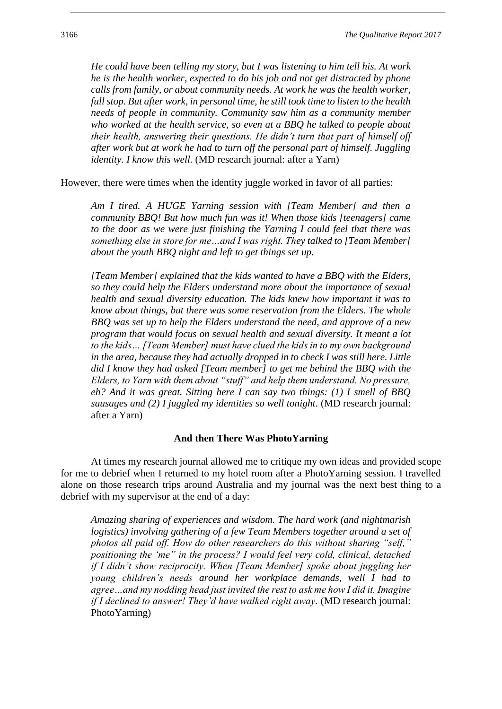*He could have been telling my story, but I was listening to him tell his. At work he is the health worker, expected to do his job and not get distracted by phone calls from family, or about community needs. At work he was the health worker, full stop. But after work, in personal time, he still took time to listen to the health needs of people in community. Community saw him as a community member who worked at the health service, so even at a BBQ he talked to people about their health, answering their questions. He didn't turn that part of himself off after work but at work he had to turn off the personal part of himself. Juggling identity. I know this well.* (MD research journal: after a Yarn)

However, there were times when the identity juggle worked in favor of all parties:

*Am I tired. A HUGE Yarning session with [Team Member] and then a community BBQ! But how much fun was it! When those kids [teenagers] came to the door as we were just finishing the Yarning I could feel that there was something else in store for me…and I was right. They talked to [Team Member] about the youth BBQ night and left to get things set up.* 

*[Team Member] explained that the kids wanted to have a BBQ with the Elders, so they could help the Elders understand more about the importance of sexual health and sexual diversity education. The kids knew how important it was to know about things, but there was some reservation from the Elders. The whole BBQ was set up to help the Elders understand the need, and approve of a new program that would focus on sexual health and sexual diversity. It meant a lot to the kids… [Team Member] must have clued the kids in to my own background in the area, because they had actually dropped in to check I was still here. Little did I know they had asked [Team member] to get me behind the BBQ with the Elders, to Yarn with them about "stuff" and help them understand. No pressure, eh? And it was great. Sitting here I can say two things: (1) I smell of BBQ sausages and (2) I juggled my identities so well tonight.* (MD research journal: after a Yarn)

#### **And then There Was PhotoYarning**

At times my research journal allowed me to critique my own ideas and provided scope for me to debrief when I returned to my hotel room after a PhotoYarning session. I travelled alone on those research trips around Australia and my journal was the next best thing to a debrief with my supervisor at the end of a day:

*Amazing sharing of experiences and wisdom. The hard work (and nightmarish logistics) involving gathering of a few Team Members together around a set of photos all paid off. How do other researchers do this without sharing "self," positioning the 'me" in the process? I would feel very cold, clinical, detached if I didn't show reciprocity. When [Team Member] spoke about juggling her young children's needs around her workplace demands, well I had to agree…and my nodding head just invited the rest to ask me how I did it. Imagine if I declined to answer! They'd have walked right away.* (MD research journal: PhotoYarning)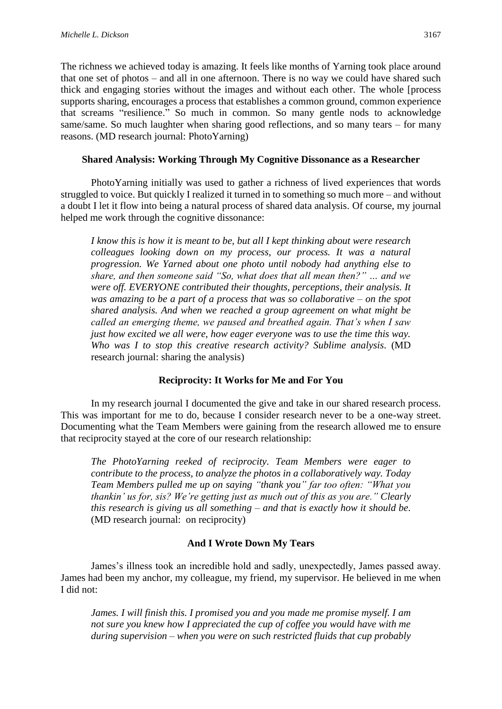The richness we achieved today is amazing. It feels like months of Yarning took place around that one set of photos – and all in one afternoon. There is no way we could have shared such thick and engaging stories without the images and without each other. The whole [process supports sharing, encourages a process that establishes a common ground, common experience that screams "resilience." So much in common. So many gentle nods to acknowledge same/same. So much laughter when sharing good reflections, and so many tears – for many reasons. (MD research journal: PhotoYarning)

## **Shared Analysis: Working Through My Cognitive Dissonance as a Researcher**

PhotoYarning initially was used to gather a richness of lived experiences that words struggled to voice. But quickly I realized it turned in to something so much more – and without a doubt I let it flow into being a natural process of shared data analysis. Of course, my journal helped me work through the cognitive dissonance:

*I know this is how it is meant to be, but all I kept thinking about were research colleagues looking down on my process, our process. It was a natural progression. We Yarned about one photo until nobody had anything else to share, and then someone said "So, what does that all mean then?" … and we were off. EVERYONE contributed their thoughts, perceptions, their analysis. It was amazing to be a part of a process that was so collaborative – on the spot shared analysis. And when we reached a group agreement on what might be called an emerging theme, we paused and breathed again. That's when I saw just how excited we all were, how eager everyone was to use the time this way. Who was I to stop this creative research activity? Sublime analysis.* (MD research journal: sharing the analysis)

## **Reciprocity: It Works for Me and For You**

In my research journal I documented the give and take in our shared research process. This was important for me to do, because I consider research never to be a one-way street. Documenting what the Team Members were gaining from the research allowed me to ensure that reciprocity stayed at the core of our research relationship:

*The PhotoYarning reeked of reciprocity. Team Members were eager to contribute to the process, to analyze the photos in a collaboratively way. Today Team Members pulled me up on saying "thank you" far too often: "What you thankin' us for, sis? We're getting just as much out of this as you are." Clearly this research is giving us all something – and that is exactly how it should be.* (MD research journal: on reciprocity)

## **And I Wrote Down My Tears**

James's illness took an incredible hold and sadly, unexpectedly, James passed away. James had been my anchor, my colleague, my friend, my supervisor. He believed in me when I did not:

*James. I will finish this. I promised you and you made me promise myself. I am not sure you knew how I appreciated the cup of coffee you would have with me during supervision – when you were on such restricted fluids that cup probably*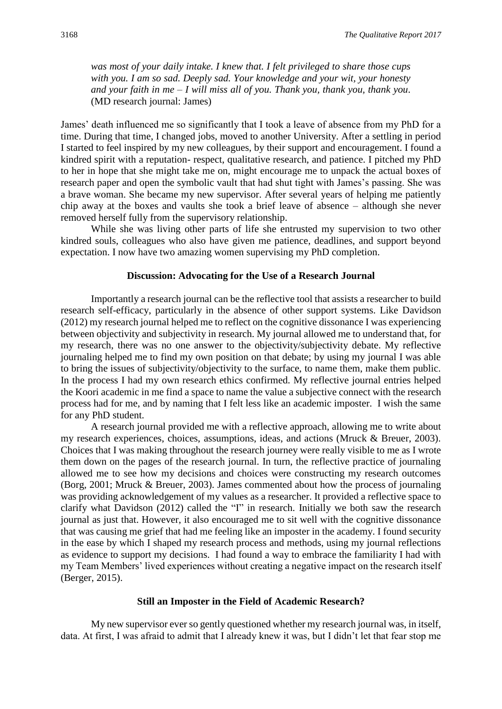*was most of your daily intake. I knew that. I felt privileged to share those cups with you. I am so sad. Deeply sad. Your knowledge and your wit, your honesty and your faith in me – I will miss all of you. Thank you, thank you, thank you.* (MD research journal: James)

James' death influenced me so significantly that I took a leave of absence from my PhD for a time. During that time, I changed jobs, moved to another University. After a settling in period I started to feel inspired by my new colleagues, by their support and encouragement. I found a kindred spirit with a reputation- respect, qualitative research, and patience. I pitched my PhD to her in hope that she might take me on, might encourage me to unpack the actual boxes of research paper and open the symbolic vault that had shut tight with James's passing. She was a brave woman. She became my new supervisor. After several years of helping me patiently chip away at the boxes and vaults she took a brief leave of absence – although she never removed herself fully from the supervisory relationship.

While she was living other parts of life she entrusted my supervision to two other kindred souls, colleagues who also have given me patience, deadlines, and support beyond expectation. I now have two amazing women supervising my PhD completion.

#### **Discussion: Advocating for the Use of a Research Journal**

Importantly a research journal can be the reflective tool that assists a researcher to build research self-efficacy, particularly in the absence of other support systems. Like Davidson (2012) my research journal helped me to reflect on the cognitive dissonance I was experiencing between objectivity and subjectivity in research. My journal allowed me to understand that, for my research, there was no one answer to the objectivity/subjectivity debate. My reflective journaling helped me to find my own position on that debate; by using my journal I was able to bring the issues of subjectivity/objectivity to the surface, to name them, make them public. In the process I had my own research ethics confirmed. My reflective journal entries helped the Koori academic in me find a space to name the value a subjective connect with the research process had for me, and by naming that I felt less like an academic imposter. I wish the same for any PhD student.

A research journal provided me with a reflective approach, allowing me to write about my research experiences, choices, assumptions, ideas, and actions (Mruck & Breuer, 2003). Choices that I was making throughout the research journey were really visible to me as I wrote them down on the pages of the research journal. In turn, the reflective practice of journaling allowed me to see how my decisions and choices were constructing my research outcomes (Borg, 2001; Mruck & Breuer, 2003). James commented about how the process of journaling was providing acknowledgement of my values as a researcher. It provided a reflective space to clarify what Davidson (2012) called the "I" in research. Initially we both saw the research journal as just that. However, it also encouraged me to sit well with the cognitive dissonance that was causing me grief that had me feeling like an imposter in the academy. I found security in the ease by which I shaped my research process and methods, using my journal reflections as evidence to support my decisions. I had found a way to embrace the familiarity I had with my Team Members' lived experiences without creating a negative impact on the research itself (Berger, 2015).

#### **Still an Imposter in the Field of Academic Research?**

My new supervisor ever so gently questioned whether my research journal was, in itself, data. At first, I was afraid to admit that I already knew it was, but I didn't let that fear stop me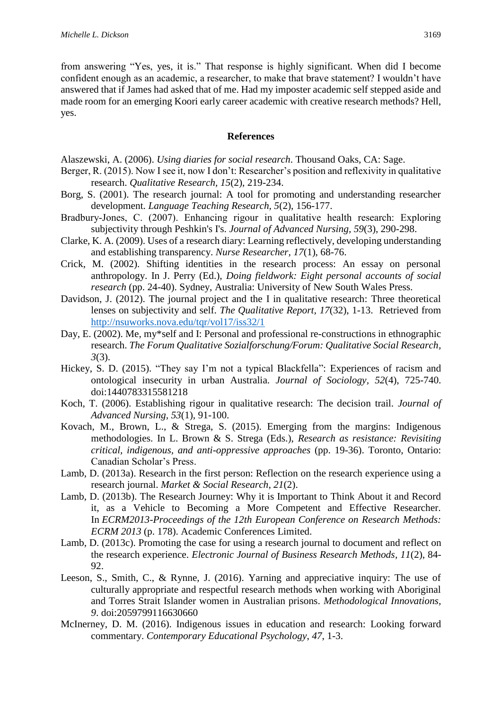from answering "Yes, yes, it is." That response is highly significant. When did I become confident enough as an academic, a researcher, to make that brave statement? I wouldn't have answered that if James had asked that of me. Had my imposter academic self stepped aside and made room for an emerging Koori early career academic with creative research methods? Hell, yes.

#### **References**

Alaszewski, A. (2006). *Using diaries for social research*. Thousand Oaks, CA: Sage.

- Berger, R. (2015). Now I see it, now I don't: Researcher's position and reflexivity in qualitative research. *Qualitative Research, 15*(2), 219-234.
- Borg, S. (2001). The research journal: A tool for promoting and understanding researcher development. *Language Teaching Research, 5*(2), 156-177.
- Bradbury‐Jones, C. (2007). Enhancing rigour in qualitative health research: Exploring subjectivity through Peshkin's I's. *Journal of Advanced Nursing, 59*(3), 290-298.
- Clarke, K. A. (2009). Uses of a research diary: Learning reflectively, developing understanding and establishing transparency. *Nurse Researcher, 17*(1), 68-76.
- Crick, M. (2002). Shifting identities in the research process: An essay on personal anthropology. In J. Perry (Ed.), *Doing fieldwork: Eight personal accounts of social research* (pp. 24-40). Sydney, Australia: University of New South Wales Press.
- Davidson, J. (2012). The journal project and the I in qualitative research: Three theoretical lenses on subjectivity and self. *The Qualitative Report, 17*(32), 1-13. Retrieved from <http://nsuworks.nova.edu/tqr/vol17/iss32/1>
- Day, E. (2002). Me, my\*self and I: Personal and professional re-constructions in ethnographic research. *The Forum Qualitative Sozialforschung/Forum: Qualitative Social Research, 3*(3).
- Hickey, S. D. (2015). "They say I'm not a typical Blackfella": Experiences of racism and ontological insecurity in urban Australia. *Journal of Sociology, 52*(4), 725-740. doi:1440783315581218
- Koch, T. (2006). Establishing rigour in qualitative research: The decision trail. *Journal of Advanced Nursing, 53*(1), 91-100.
- Kovach, M., Brown, L., & Strega, S. (2015). Emerging from the margins: Indigenous methodologies. In L. Brown & S. Strega (Eds.), *Research as resistance: Revisiting critical, indigenous, and anti-oppressive approaches* (pp. 19-36). Toronto, Ontario: Canadian Scholar's Press.
- Lamb, D. (2013a). Research in the first person: Reflection on the research experience using a research journal. *Market & Social Research*, *21*(2).
- Lamb, D. (2013b). The Research Journey: Why it is Important to Think About it and Record it, as a Vehicle to Becoming a More Competent and Effective Researcher. In *ECRM2013-Proceedings of the 12th European Conference on Research Methods: ECRM 2013* (p. 178). Academic Conferences Limited.
- Lamb, D. (2013c). Promoting the case for using a research journal to document and reflect on the research experience. *Electronic Journal of Business Research Methods, 11*(2), 84- 92.
- Leeson, S., Smith, C., & Rynne, J. (2016). Yarning and appreciative inquiry: The use of culturally appropriate and respectful research methods when working with Aboriginal and Torres Strait Islander women in Australian prisons. *Methodological Innovations, 9*. doi:2059799116630660
- McInerney, D. M. (2016). Indigenous issues in education and research: Looking forward commentary. *Contemporary Educational Psychology*, *47*, 1-3.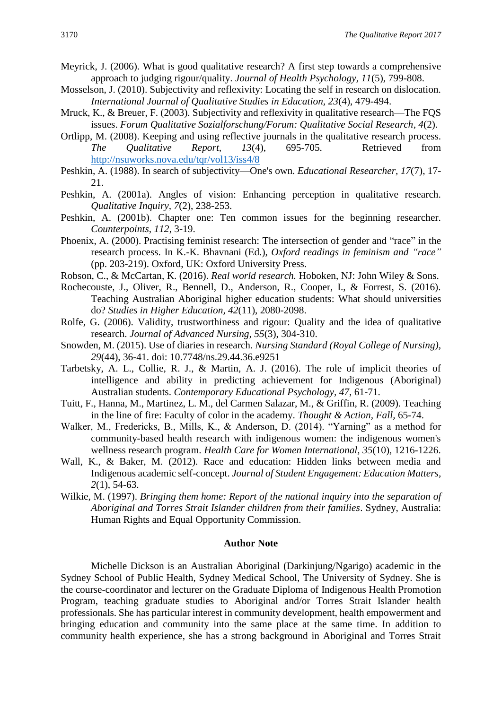Meyrick, J. (2006). What is good qualitative research? A first step towards a comprehensive approach to judging rigour/quality. *Journal of Health Psychology, 11*(5), 799-808.

- Mosselson, J. (2010). Subjectivity and reflexivity: Locating the self in research on dislocation. *International Journal of Qualitative Studies in Education, 23*(4), 479-494.
- Mruck, K., & Breuer, F. (2003). Subjectivity and reflexivity in qualitative research—The FQS issues. *Forum Qualitative Sozialforschung/Forum: Qualitative Social Research*, *4*(2).
- Ortlipp, M. (2008). Keeping and using reflective journals in the qualitative research process. *The Qualitative Report, 13*(4), 695-705. Retrieved from <http://nsuworks.nova.edu/tqr/vol13/iss4/8>
- Peshkin, A. (1988). In search of subjectivity—One's own. *Educational Researcher, 17*(7), 17- 21.
- Peshkin, A. (2001a). Angles of vision: Enhancing perception in qualitative research. *Qualitative Inquiry, 7*(2), 238-253.
- Peshkin, A. (2001b). Chapter one: Ten common issues for the beginning researcher. *Counterpoints, 112*, 3-19.
- Phoenix, A. (2000). Practising feminist research: The intersection of gender and "race" in the research process. In K.-K. Bhavnani (Ed.), *Oxford readings in feminism and "race"* (pp. 203-219). Oxford, UK: Oxford University Press.
- Robson, C., & McCartan, K. (2016). *Real world research.* Hoboken, NJ: John Wiley & Sons.
- Rochecouste, J., Oliver, R., Bennell, D., Anderson, R., Cooper, I., & Forrest, S. (2016). Teaching Australian Aboriginal higher education students: What should universities do? *Studies in Higher Education, 42*(11), 2080-2098.
- Rolfe, G. (2006). Validity, trustworthiness and rigour: Quality and the idea of qualitative research. *Journal of Advanced Nursing, 55*(3), 304-310.
- Snowden, M. (2015). Use of diaries in research. *Nursing Standard (Royal College of Nursing), 29*(44), 36-41. doi: 10.7748/ns.29.44.36.e9251
- Tarbetsky, A. L., Collie, R. J., & Martin, A. J. (2016). The role of implicit theories of intelligence and ability in predicting achievement for Indigenous (Aboriginal) Australian students. *Contemporary Educational Psychology, 47*, 61-71.
- Tuitt, F., Hanna, M., Martinez, L. M., del Carmen Salazar, M., & Griffin, R. (2009). Teaching in the line of fire: Faculty of color in the academy. *Thought & Action, Fall,* 65-74.
- Walker, M., Fredericks, B., Mills, K., & Anderson, D. (2014). "Yarning" as a method for community-based health research with indigenous women: the indigenous women's wellness research program. *Health Care for Women International, 35*(10), 1216-1226.
- Wall, K., & Baker, M. (2012). Race and education: Hidden links between media and Indigenous academic self-concept. *Journal of Student Engagement: Education Matters, 2*(1), 54-63.
- Wilkie, M. (1997). *Bringing them home: Report of the national inquiry into the separation of Aboriginal and Torres Strait Islander children from their families*. Sydney, Australia: Human Rights and Equal Opportunity Commission.

#### **Author Note**

Michelle Dickson is an Australian Aboriginal (Darkinjung/Ngarigo) academic in the Sydney School of Public Health, Sydney Medical School, The University of Sydney. She is the course-coordinator and lecturer on the Graduate Diploma of Indigenous Health Promotion Program, teaching graduate studies to Aboriginal and/or Torres Strait Islander health professionals. She has particular interest in community development, health empowerment and bringing education and community into the same place at the same time. In addition to community health experience, she has a strong background in Aboriginal and Torres Strait